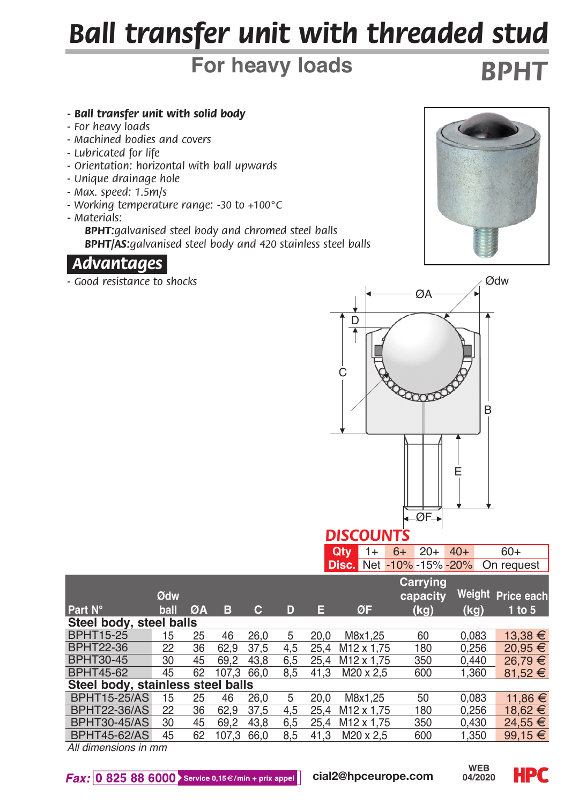# *Ball transfer unit with threaded stud*

## **For heavy loads**

#### *- Ball transfer unit with solid body*

- *For heavy loads*
- *Machined bodies and covers*
- *Lubricated for life*
- *Orientation: horizontal with ball upwards*
- *Unique drainage hole*
- *Max. speed: 1.5m/s*
- *Working temperature range: -30 to +100°C*
- *Materials:*

 *BPHT:galvanised steel body and chromed steel balls BPHT/AS:galvanised steel body and 420 stainless steel balls*

### *Advantages.*

*- Good resistance to shocks*



*BPHT*



| <b>City</b> 1+ 6+ 20+ 40+ |  |  | $60+$                                      |
|---------------------------|--|--|--------------------------------------------|
|                           |  |  | <b>Disc.</b> Net -10% -15% -20% On request |

|                                      |      |    |            |      |     |      |                        | Carrying |       |                   |  |  |
|--------------------------------------|------|----|------------|------|-----|------|------------------------|----------|-------|-------------------|--|--|
|                                      | Ødw  |    |            |      |     |      |                        | capacity |       | Weight Price each |  |  |
| Part N°                              | ball | ØA | в          | с    | D   | E    | ØF                     | (kg)     | (kg)  | $1$ to $5$        |  |  |
| Steel body, steel balls              |      |    |            |      |     |      |                        |          |       |                   |  |  |
| <b>BPHT15-25</b>                     | 15   | 25 | 46         | 26.0 | 5   | 20.0 | M8x1.25                | 60       | 0.083 | 13,38 €           |  |  |
| <b>BPHT22-36</b>                     | 22   | 36 | 62.9       | 37.5 | 4.5 | 25.4 | M <sub>12</sub> x 1.75 | 180      | 0.256 | $20.95 \in$       |  |  |
| BPHT30-45                            | 30   | 45 | 69.2       | 43.8 | 6.5 | 25.4 | M <sub>12</sub> x 1.75 | 350      | 0.440 | $26.79 \t∈$       |  |  |
| <b>BPHT45-62</b>                     | 45   | 62 | 107.3 66.0 |      | 8.5 | 41.3 | M20 x 2.5              | 600      | 1.360 | 81.52 $\in$       |  |  |
| Steel body, stainless steel balls    |      |    |            |      |     |      |                        |          |       |                   |  |  |
| <b>BPHT15-25/AS</b>                  | 15   | 25 | 46         | 26.0 | 5   | 20.0 | M8x1.25                | 50       | 0.083 | 11.86 €           |  |  |
| <b>BPHT22-36/AS</b>                  | 22   | 36 | 62.9       | 37.5 | 4.5 | 25.4 | M <sub>12</sub> x 1.75 | 180      | 0.256 | 18.62 €           |  |  |
| <b>BPHT30-45/AS</b>                  | 30   | 45 | 69.2       | 43.8 | 6.5 | 25.4 | M <sub>12</sub> x 1.75 | 350      | 0.430 | $24.55 \in$       |  |  |
| <b>BPHT45-62/AS</b>                  | 45   | 62 | 107.3      | 66.0 | 8.5 | 41.3 | M20 x 2.5              | 600      | 1.350 | $99.15 \in$       |  |  |
| All office a subdivision for service |      |    |            |      |     |      |                        |          |       |                   |  |  |

*All dimensions in mm*

 $\textit{Fax:}$  0 825 88 6000 Service 0,15 €/min + prix appel